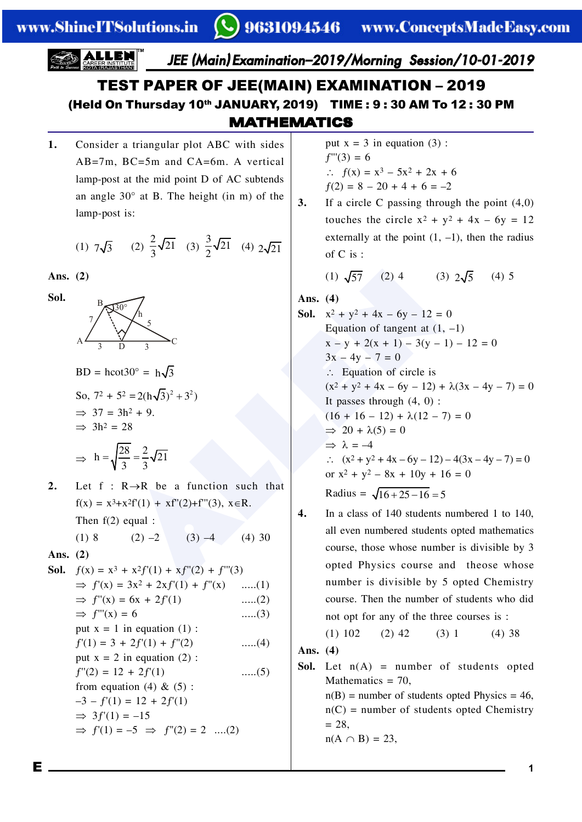www.ShineITSolutions.in

JEE (Main) Examination-2019/Morning Session/10-01-2019

# **TEST PAPER OF JEE(MAIN) EXAMINATION - 2019** (Held On Thursday 10th JANUARY, 2019) TIME: 9:30 AM To 12:30 PM **MATHEMATICS**

Consider a triangular plot ABC with sides 1.  $AB=7m$ ,  $BC=5m$  and  $CA=6m$ . A vertical lamp-post at the mid point D of AC subtends an angle  $30^{\circ}$  at B. The height (in m) of the lamp-post is:

(1) 
$$
7\sqrt{3}
$$
 (2)  $\frac{2}{3}\sqrt{21}$  (3)  $\frac{3}{2}\sqrt{21}$  (4)  $2\sqrt{21}$ 

Ans.  $(2)$ 

Sol.



- $BD = hcot30^\circ = h\sqrt{3}$ So,  $7^2 + 5^2 = 2(h\sqrt{3})^2 + 3^2$  $\Rightarrow$  37 = 3h<sup>2</sup> + 9.  $\implies$  3h<sup>2</sup> = 28
- $\Rightarrow h = \sqrt{\frac{28}{3}} = \frac{2}{3}\sqrt{21}$
- Let  $f : R \rightarrow R$  be a function such that  $2.$  $f(x) = x^3 + x^2f'(1) + xf''(2) + f'''(3), x \in R.$

Then  $f(2)$  equal :

 $(1)8$  $(2) -2$  $(3) -4$  $(4)$  30

Ans.  $(2)$ 

**Sol.**  $f(x) = x^3 + x^2 f'(1) + xf''(2) + f'''(3)$  $\Rightarrow$  f'(x) = 3x<sup>2</sup> + 2xf'(1) + f"(x)  $\dots(1)$  $\Rightarrow$  f''(x) = 6x + 2f'(1)  $....(2)$  $\Rightarrow$  f''(x) = 6  $....(3)$ put  $x = 1$  in equation (1):  $f'(1) = 3 + 2f'(1) + f''(2)$  $\dots(4)$ put  $x = 2$  in equation (2):  $f''(2) = 12 + 2f'(1)$  $....(5)$ from equation (4)  $\&$  (5):  $-3 - f'(1) = 12 + 2f'(1)$  $\Rightarrow$  3f'(1) = -15  $\Rightarrow$  f'(1) = -5  $\Rightarrow$  f''(2) = 2 ....(2)

put  $x = 3$  in equation (3):  $f'''(3) = 6$  $\therefore$   $f(x) = x^3 - 5x^2 + 2x + 6$  $f(2) = 8 - 20 + 4 + 6 = -2$ 

 $3.$ If a circle C passing through the point  $(4,0)$ touches the circle  $x^2 + y^2 + 4x - 6y = 12$ externally at the point  $(1, -1)$ , then the radius of  $C$  is :

$$
(1) \sqrt{57} \qquad (2) 4 \qquad (3) 2\sqrt{5} \qquad (4) 5
$$

Ans.  $(4)$ 

- **Sol.**  $x^2 + y^2 + 4x 6y 12 = 0$ Equation of tangent at  $(1, -1)$  $x - y + 2(x + 1) - 3(y - 1) - 12 = 0$  $3x - 4y - 7 = 0$  $\therefore$  Equation of circle is  $(x^{2} + y^{2} + 4x - 6y - 12) + \lambda(3x - 4y - 7) = 0$ It passes through  $(4, 0)$ :  $(16 + 16 - 12) + \lambda(12 - 7) = 0$  $\Rightarrow$  20 +  $\lambda(5) = 0$  $\Rightarrow \lambda = -4$  $\therefore$   $(x^2 + y^2 + 4x - 6y - 12) - 4(3x - 4y - 7) = 0$ or  $x^2 + y^2 - 8x + 10y + 16 = 0$ Radius =  $\sqrt{16 + 25 - 16} = 5$
- In a class of 140 students numbered 1 to 140,  $\overline{4}$ . all even numbered students opted mathematics course, those whose number is divisible by 3 opted Physics course and theose whose number is divisible by 5 opted Chemistry course. Then the number of students who did not opt for any of the three courses is:

 $(1) 102$  $(2)$  42  $(3) 1$  $(4)$  38

Ans.  $(4)$ 

**Sol.** Let  $n(A)$  = number of students opted Mathematics  $= 70$ ,  $n(B)$  = number of students opted Physics = 46,  $n(C)$  = number of students opted Chemistry

 $= 28.$ 

$$
n(A \cap B) = 23,
$$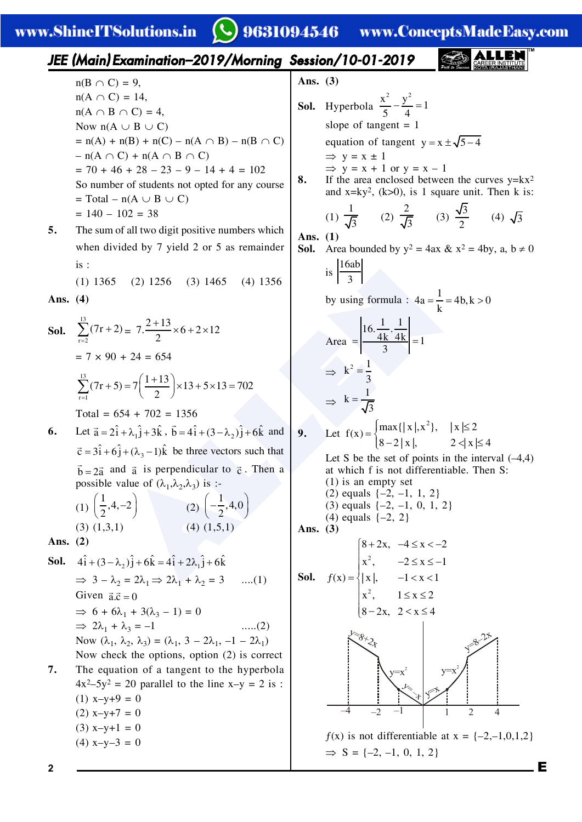**Q** 9631094546 www.ConceptsMadeEasy.com

**IEEE (Main) Examination-2019/Morning Session/10-01-2019**  
\nand A 
$$
\cap
$$
 C) = 9,  
\n $m(A \cap B) \cap C$  = 4,  
\nNow n(A  $\cup$  B  $\cup$  C)  
\n $= n(A) + n(B) + n(C) = n(A \cap B) - n(B \cap C)$   
\n $= n(A) + n(B) + n(C) = n(A \cap B) - n(B \cap C)$   
\n $= n(A) + n(B) + n(C) = 0$   
\nSo the number of students not opened for any course  
\nSo the number of students not opened for any course  
\n $= 140 - 102 = 38$   
\nSo the sum of all two digits positive numbers which  
\nwhen divided by 7 yield 2 or 5 as remained  
\nwhen divided by 7 yield 2 or 5 as remained  
\n $\therefore$  (1) 1365 (2) 1256 (3) 1465 (4) 1356  
\n $\therefore$  (2) 1256 (3) 1465 (4) 1356  
\n $\therefore$  (3) 1365 (2) 1256 (3) 1465 (4) 1356  
\n $\therefore$  (4) 1365 (2) 1256 (3) 1465 (4) 1356  
\n $\therefore$  (5) 1365 (2) 1256 (3) 1465 (4) 1356  
\n $\therefore$  (6) 1365 (2) 1256 (3) 1465 (4) 1356  
\n $\therefore$  (7r+3) = 7( $\frac{1+13}{2}$ )×13+5×13 = 702  
\n $\therefore$  (7r+5) = 7( $\frac{1+13}{2}$ )×13+5×13 = 702  
\n $\therefore$  (7r+6) = 7( $\frac{1+13}{2}$ )×13+5×13 = 702  
\n $\therefore$  (7r+7) = 7( $\frac{1+13}{2}$ )×13+5×13 = 702  
\n $\therefore$  (7r+8) = 7( $\frac{1+13}{2}$ )×13+5×13 = 702  
\n<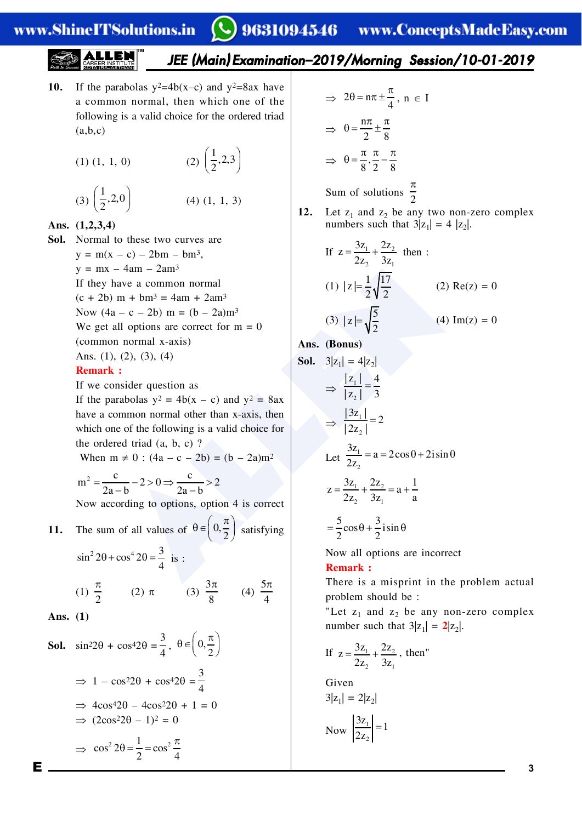# 9631094546 www.ConceptsMadeEasy.com

## JEE (Main) Examination-2019/Morning Session/10-01-2019

- 10. If the parabolas  $y^2=4b(x-c)$  and  $y^2=8ax$  have a common normal, then which one of the following is a valid choice for the ordered triad  $(a,b,c)$ 
	- (2)  $\left(\frac{1}{2}, 2, 3\right)$  $(1)$   $(1, 1, 0)$

$$
(3) \left(\frac{1}{2}, 2, 0\right) \tag{4} \tag{1, 1, 3}
$$

Ans.  $(1,2,3,4)$ 

Sol. Normal to these two curves are  $y = m(x - c) - 2bm - bm^3$ ,  $y = mx - 4am - 2am^3$ If they have a common normal  $(c + 2b)$  m +  $bm^3 = 4am + 2am^3$ Now  $(4a - c - 2b)$  m =  $(b - 2a) m<sup>3</sup>$ We get all options are correct for  $m = 0$ (common normal x-axis) Ans.  $(1)$ ,  $(2)$ ,  $(3)$ ,  $(4)$ **Remark:** 

If we consider question as

If the parabolas  $y^2 = 4b(x - c)$  and  $y^2 = 8ax$ have a common normal other than x-axis, then which one of the following is a valid choice for the ordered triad  $(a, b, c)$ ?

When m  $\neq$  0 : (4a – c – 2b) = (b – 2a)m<sup>2</sup>

$$
m^2 = \frac{c}{2a - b} - 2 > 0 \Rightarrow \frac{c}{2a - b} > 2
$$

Now according to options, option 4 is correct

11. The sum of all values of 
$$
\theta \in \left(0, \frac{\pi}{2}\right)
$$
 satisfying

$$
\sin^2 2\theta + \cos^4 2\theta = \frac{3}{4} \text{ is :}
$$
  
(1)  $\frac{\pi}{2}$  (2)  $\pi$  (3)  $\frac{3\pi}{8}$  (4)  $\frac{5\pi}{4}$ 

Ans.  $(1)$ 

Е

**Sol.** 
$$
\sin^2 2\theta + \cos^4 2\theta = \frac{3}{4}, \ \theta \in \left(0, \frac{\pi}{2}\right)
$$
  
\n $\Rightarrow 1 - \cos^2 2\theta + \cos^4 2\theta = \frac{3}{4}$   
\n $\Rightarrow 4\cos^4 2\theta - 4\cos^2 2\theta + 1 = 0$   
\n $\Rightarrow (2\cos^2 2\theta - 1)^2 = 0$   
\n $\Rightarrow \cos^2 2\theta = \frac{1}{2} = \cos^2 \frac{\pi}{4}$ 

$$
\Rightarrow 2\theta = n\pi \pm \frac{\pi}{4}, n \in I
$$

$$
\Rightarrow \theta = \frac{n\pi}{2} \pm \frac{\pi}{8}
$$

$$
\Rightarrow \theta = \frac{\pi}{8}, \frac{\pi}{2} - \frac{\pi}{8}
$$
  
Sum of solutions  $\frac{\pi}{2}$ 

 $12.$ Let  $z_1$  and  $z_2$  be any two non-zero complex numbers such that  $3|z_1| = 4 |z_2|$ .

If 
$$
z = \frac{3z_1}{2z_2} + \frac{2z_2}{3z_1}
$$
 then :  
\n(1)  $|z| = \frac{1}{2} \sqrt{\frac{17}{2}}$  (2) Re(z) = 0  
\n(3)  $|z| = \sqrt{\frac{5}{2}}$  (4) Im(z) = 0

Ans. (Bonus)

**Sol.** 
$$
3|z_1| = 4|z_2|
$$
  
\n $\Rightarrow \frac{|z_1|}{|z_2|} = \frac{4}{3}$   
\n $\Rightarrow \frac{|3z_1|}{|2z_2|} = 2$   
\nLet  $\frac{3z_1}{2z_2} = a = 2\cos\theta + 2i\sin\theta$   
\n $z = \frac{3z_1}{2z_2} + \frac{2z_2}{3z_1} = a + \frac{1}{a}$   
\n $= \frac{5}{2}\cos\theta + \frac{3}{2}i\sin\theta$ 

Now all options are incorrect **Remark:** 

There is a misprint in the problem actual problem should be:

"Let  $z_1$  and  $z_2$  be any non-zero complex number such that  $3|z_1| = 2|z_2|$ .

If 
$$
z = \frac{3z_1}{2z_2} + \frac{2z_2}{3z_1}
$$
, then"

Given  
\n
$$
3|z_1| = 2|z_2|
$$
\n
$$
Now \left| \frac{3z_1}{2z_2} \right| = 1
$$

 $\overline{3}$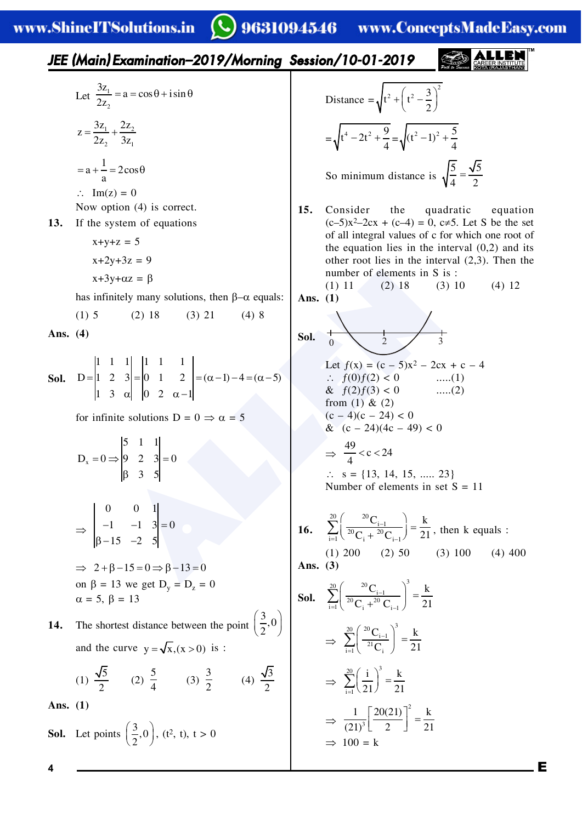#### $\bigcirc$  9631094546 www.ConceptsMadeEasy.com

15. Consider the quadratic equation  
\n1.3. If the system of equations  
\n
$$
x+y+z = 5
$$
  
\n $x+2y+3z = 9$   
\nAs infinitely many solutions, then β-α equals:  
\n(1) 5 (2) 18 (3) 21 (4) 8  
\nAs. (4)  
\n16. Do 1  
\n17. a 100 12 18 13 10 24 1  
\n18. (b) 20 18 13 10 24 1  
\n19. a 30 10 24 1  
\n10. a 11 2  
\n11. a 1  
\n $y-3y = 9$   
\n $y = 0$  b 2 3  
\n $y = 13$  c 2 1  
\n $y = 1$  d 1  
\n2. a 3  
\n $y = \sqrt{t^4 - 2t^2 + \frac{9}{4}} = \sqrt{(t^2 - 1)^2 + \frac{5}{4}}$   
\n $y = \sqrt{t^4 - 2t^2 + \frac{9}{4}} = \sqrt{(t^2 - 1)^2 + \frac{5}{4}}$   
\n $y = \sqrt{t^4 - 2t^2 + \frac{9}{4}} = \sqrt{(t^2 - 1)^2 + \frac{5}{4}}$   
\n $y = \sqrt{t^4 - 2t^2 + \frac{9}{4}} = \sqrt{(t^2 - 1)^2 + \frac{5}{4}}$   
\n $y = \sqrt{t^4 - 2t^2 + \frac{9}{4}} = \sqrt{(t^2 - 1)^2 + \frac{5}{4}}$   
\nSo. In the system of equations  
\n $(t-5)x^2-2cx + (c-4) = 0, c+5$ . Let S be the set  
\nthe equation lies in the interval (0,2) and its  
\nthe equation lies in the interval (2,3). Then the  
\nthe equation lies in the interval (2,3). Then the  
\nthe equation lies in the interval (2,3). Then  
\n $1x = 1$  and  $x = 1$  and  $x = 1$  and  $x = 1$  and  $x = 1$  and  $x = 1$  and  $x = 1$  and  $x = 1$  and  $x = 1$  and  $x = 1$  and  $x = 1$  and  $x = 1$  and  $x = 1$  and <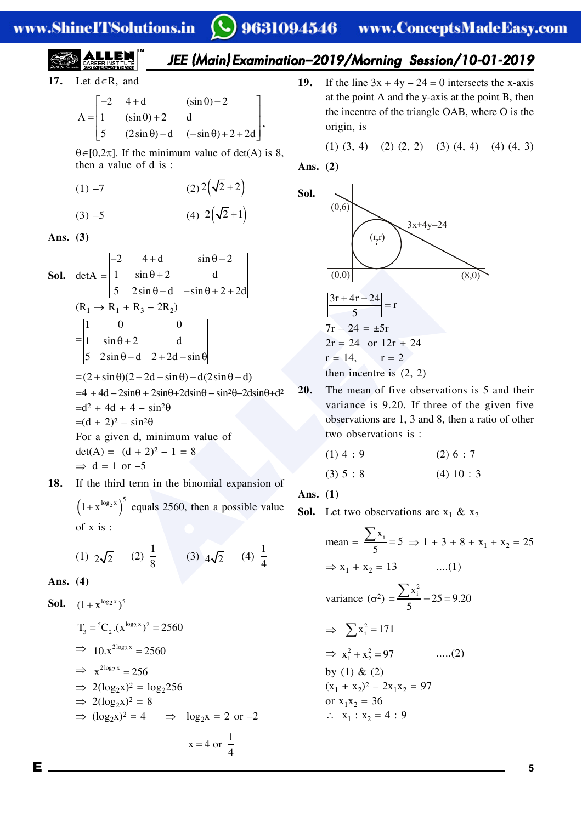**ITSolutions** in зī Ŀ **WWV** 

#### $\Omega$   $\alpha$   $\alpha$   $\beta$   $\alpha$   $\beta$   $\alpha$ da Ra com MÆ on.

**EXAMPLE 1.5011(1101.8311**  
\n17. Let d=R, and  
\n
$$
A = \begin{bmatrix}\n1 & 0 & 0 \\
-1 & (\sin \theta) + 2 & d \\
5 & (2\sin \theta) - d & (-\sin \theta) + 2 + 2d\n\end{bmatrix}
$$
\n19. If the line  $3x + 4y - 24 = 0$  intersects the x-axis  
\nthe point A and the y-axis at the point B, then  
\n $10x(10,2x)$ . If the minimum value of det(A) is 8,  
\n $10x - 7$  (2)2(2+2)  
\n(3) -5 (4) 2( $\sqrt{2} + 1$ )  
\nAns. (3)  
\n10. (a) -3 (b) -4 (c) -360 + 2 + 2d  
\n(d) -3 (a) -4 (b) -2 (a) 24(-2+1)  
\n(b) 2 (a) 2 (b) 2 (b) 2 (c) (c) 2 (d) 4 (e) (d) (4, 3)  
\n(d) -5 (e) 2 (2( $\sqrt{2} + 2$ )  
\n11. (a) 0  
\n(b) 0  
\n12. (a) -3 (a) 2 (-(a) -360 + 2 + 2a)  
\n(b) 2 (a) -1 (b) 0  
\n13. (a) 2 (a) -1 (b) 0  
\n14. (a) -2 (a) 2 (-(b) 2) 14  
\n(b) -3 (a) 2 (-(c) -360 + 2 + 2a)  
\n(b) -2 (a) 2 (-(b) -2 (b))  
\n15. If the third term in the binomial expansion of  
\n $11x^{-106} + 144 + 4 \sin 10^2$   
\n $-4x^2 + 44 - 2 \sin 0 + 2 \sin 0 + 2 \cos 0 + 2 \sin 0 + 2 \cos 0 + 2 \sin 0 + 2 \sin 0 + 2 \sin 0 + 2 \sin 0 + 2 \sin 0 + 2 \sin 0 + 2 \sin 0 + 2 \sin 0 + 2 \sin 0 + 2 \sin 0 + 2 \sin 0 + 2 \sin 0 + 2 \sin 0 + 2 \sin 0 + 2 \sin 0 + 2 \sin 0 + 2 \sin 0 + 2 \sin 0 +$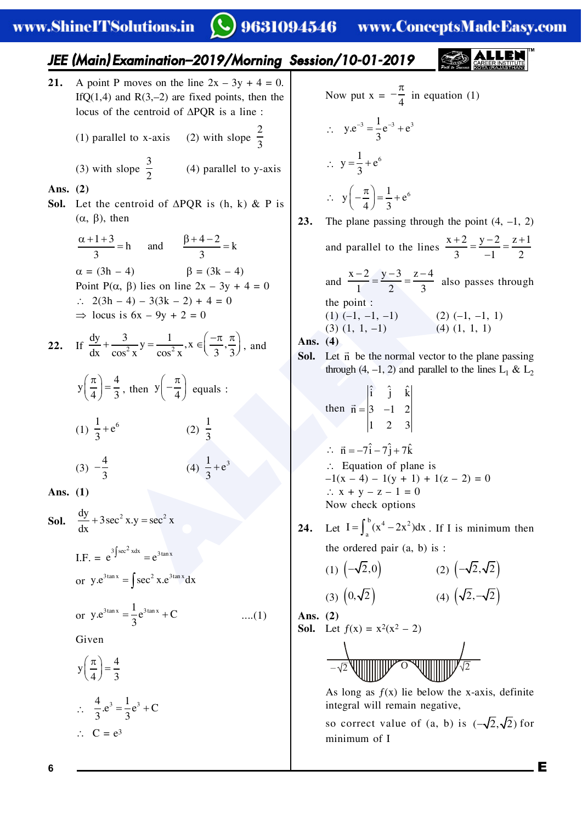# www.ShineITSolutions.in

#### **Q** 9631094546 www.ConceptsMadeEasy.com

| IEEE (Main) Examination-2019/Monning Session/10-01-2019                                                                                                                               |
|---------------------------------------------------------------------------------------------------------------------------------------------------------------------------------------|
| 21. A point P moves on the line 2x - 3y + 4 = 0.                                                                                                                                      |
| ITC(1, 4) and RG(2, -2) are fixed points, then the<br>locus of the centroid of APQR is a line?                                                                                        |
| (1) parallel to x-axis (2) with slope $\frac{2}{3}$                                                                                                                                   |
| (2) 3                                                                                                                                                                                 |
| (3) with slope $\frac{3}{2}$                                                                                                                                                          |
| (4) 4                                                                                                                                                                                 |
| (5) 2                                                                                                                                                                                 |
| (6) 4                                                                                                                                                                                 |
| (7) 5                                                                                                                                                                                 |
| (8) 1. Let the centroid of APQR is (h, k) & P is                                                                                                                                      |
| 1. 2(3h - 4) 5(3k - 2) + 4 = 0                                                                                                                                                        |
| 2. If $\frac{dy}{dx} + \frac{3}{\cos^2 x}y = \frac{1}{\cos^4 x}$ , $x \in (\frac{\pi}{3}, \frac{\pi}{3})$ , and<br> 2  equals :<br> 3  = 4                                            |
| 2. If $\frac{dy}{dx} + \frac{3}{\cos^2 x}y = \frac{1}{\cos^4 x}$ , $x \in (\frac{\pi}{3}, \frac{\pi}{3})$ , and<br> 4  = $\frac{1}{2}$ , then $y(-\frac{\pi}{4})$ equals :<br> 3  = 4 |
| (3) $-\frac{4}{3}$ (4) $\frac{1}{3} + e^3$                                                                                                                                            |
| (4) $\frac{1}{3} + e^3$                                                                                                                                                               |
| (5) $\frac{4}{\cos^2 x}y = \sec^2 x$                                                                                                                                                  |
| 1. $\frac{1}{2}$ = $\frac{e^{\tan x}}{e^{\tan x}}$                                                                                                                                    |
| 1. $\frac{1}{2}$ = $\frac{e^{\tan x}}{e^{\tan x}}$                                                                                                                                    |
|                                                                                                                                                                                       |

 $\bf{6}$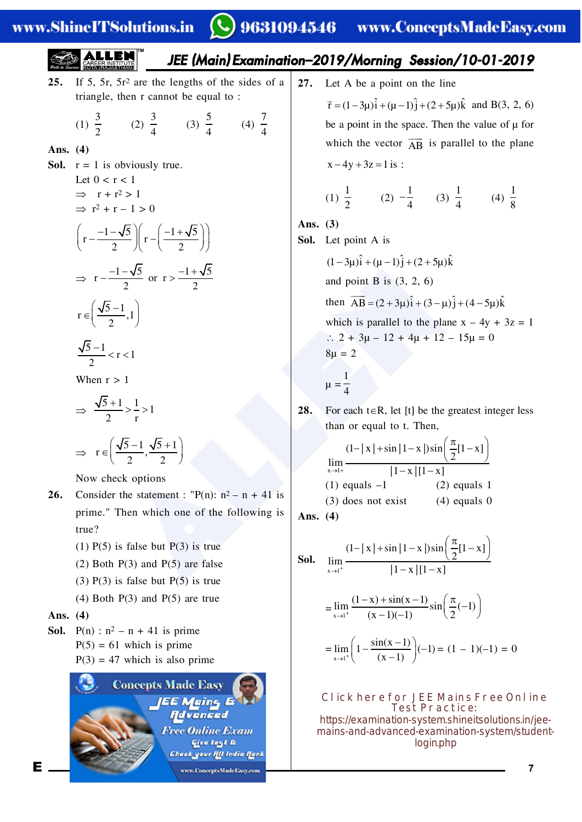### www.ShineITSolutions.in

#### 9631094546 www.ConceptsMadeEasy.com

**EXERCISE 22.12**  
\n25. If 5, 5r, 5r<sup>2</sup> are the lengths of the sides of a triangle, then r cannot be equal to :  
\n
$$
T = (1-3\mu)^2 + (\mu-1)^2 + (2+5\mu)\hat{k}
$$
 and B(3, 2, 6)  
\n(1)  $\frac{3}{2}$  (2)  $\frac{3}{4}$  (3)  $\frac{5}{4}$  (4)  $\frac{7}{4}$   
\n**Ans.** (4)  
\n**Ans.** (4)  
\n**Ans.** (4)  
\n
$$
T = 1
$$
 is obviously true.  
\nLet 0 < r < 1  
\n
$$
T^2 + r - 1 > 0
$$
  
\n
$$
T = \frac{-1-\sqrt{5}}{2} \int r - \left(\frac{-1+\sqrt{5}}{2}\right) \int r - \left(\frac{-1+\sqrt{5}}{2}\right) \int r - \left(\frac{-1+\sqrt{5}}{2}\right) \int r - \left(\frac{-1+\sqrt{5}}{2}\right) \int r - \left(\frac{-1+\sqrt{5}}{2}\right) \int r - \left(\frac{-1+\sqrt{5}}{2}\right) \int r - \left(\frac{-1+\sqrt{5}}{2}\right) \int r - \left(\frac{-1+\sqrt{5}}{2}\right) \int r - \left(\frac{-1+\sqrt{5}}{2}\right) \int r - \left(\frac{-1+\sqrt{5}}{2}\right) \int r - \left(\frac{-1+\sqrt{5}}{2}\right) \int r - \left(\frac{-1+\sqrt{5}}{2}\right) \int r - \left(\frac{-1+\sqrt{5}}{2}\right) \int r - \left(\frac{-1+\sqrt{5}}{2}\right) \int r - \left(\frac{-1+\sqrt{5}}{2}\right) \int r - \left(\frac{1+\sqrt{5}}{2}\right) \int r - \left(\frac{-1+\sqrt{5}}{2}\right) \int r - \left(\frac{1+\sqrt{5}}{2}\right) \int r - \left(\frac{1+\sqrt{5}}{2}\right) \int r - \left(\frac{1+\sqrt{5}}{2}\right) \int r - \left(\frac{1+\sqrt{5}}{2}\right) \int r - \left(\frac{1+\sqrt{5}}{2}\right) \int r - \left(\frac{1+\sqrt{5}}{2}\right) \int r - \left(\frac{1+\sqrt{5}}{2}\right) \int r - \left(\
$$

$$
\Rightarrow \frac{\sqrt{5}+1}{2} > \frac{1}{r} > 1
$$
  

$$
\Rightarrow r \in \left(\frac{\sqrt{5}-1}{2}, \frac{\sqrt{5}+1}{2}\right)
$$

Now check options

- Consider the statement : "P(n):  $n^2 n + 41$  is 26. prime." Then which one of the following is  $true?$ 
	- $(1)$  P(5) is false but P(3) is true
	- $(2)$  Both P $(3)$  and P $(5)$  are false
	- $(3)$  P(3) is false but P(5) is true
	- $(4)$  Both P $(3)$  and P $(5)$  are true

### Ans.  $(4)$

E

**Sol.**  $P(n) : n^2 - n + 41$  is prime  $P(5) = 61$  which is prime  $P(3) = 47$  which is also prime



 $27.$ Let A be a point on the line  $\vec{r} = (1-3\mu)\hat{i} + (\mu-1)\hat{j} + (2+5\mu)\hat{k}$  and B(3, 2, 6) be a point in the space. Then the value of  $\mu$  for which the vector  $\overrightarrow{AB}$  is parallel to the plane  $x - 4y + 3z = 1$  is:

(1) 
$$
\frac{1}{2}
$$
 (2)  $-\frac{1}{4}$  (3)  $\frac{1}{4}$  (4)  $\frac{1}{8}$ 

Ans.  $(3)$ 

(4)  $\frac{7}{4}$ 

Sol. Let point A is

$$
(1-3\mu)\hat{i} + (\mu-1)\hat{j} + (2+5\mu)\hat{k}
$$
  
and point B is (3, 2, 6)  
then  $\overrightarrow{AB} = (2+3\mu)\hat{i} + (3-\mu)\hat{j} + (4-5\mu)\hat{k}$   
which is parallel to the plane x - 4y + 3z = 1  
 $\therefore$  2 + 3\mu - 12 + 4\mu + 12 - 15\mu = 0  
8\mu = 2

 $\mu = \frac{1}{4}$ 

28. For each  $t \in R$ , let [t] be the greatest integer less than or equal to t. Then,

$$
\lim_{x\to 1+}\frac{(1-|x|+\sin|1-x|)\sin\left(\frac{\pi}{2}[1-x]\right)}{|1-x|[1-x]}
$$
\n(1) equals -1\n(2) equals 1\n(3) does not exist\n(4) equals 0

Ans.  $(4)$ 

**Sol.** 
$$
\lim_{x \to 1^{+}} \frac{(1-|x| + \sin |1-x|) \sin \left(\frac{\pi}{2}[1-x]\right)}{|1-x| [1-x]}
$$

$$
= \lim_{x \to 1^{+}} \frac{(1-x) + \sin(x-1)}{(x-1)(-1)} \sin \left(\frac{\pi}{2}(-1)\right)
$$

$$
= \lim_{x \to 1^{+}} \left(1 - \frac{\sin(x-1)}{(x-1)}\right)(-1) = (1-1)(-1) = 0
$$

Click here for JEE Mains Free Online **Test Practice:** https://examination-system.shineitsolutions.in/jeemains-and-advanced-examination-system/studentlogin.php